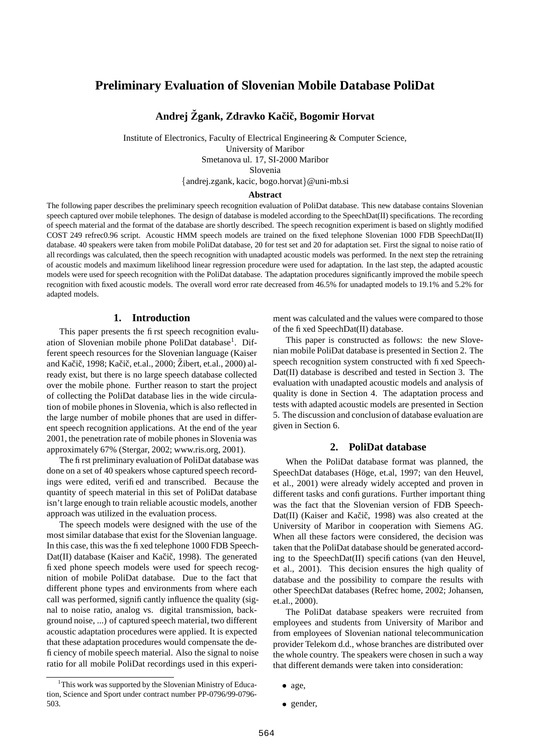# **Preliminary Evaluation of Slovenian Mobile Database PoliDat**

# **Andrej Zgank, ˇ Zdravko Kaciˇ c,ˇ Bogomir Horvat**

Institute of Electronics, Faculty of Electrical Engineering & Computer Science, University of Maribor Smetanova ul. 17, SI-2000 Maribor Slovenia andrej.zgank, kacic, bogo.horvat @uni-mb.si

#### **Abstract**

The following paper describes the preliminary speech recognition evaluation of PoliDat database. This new database contains Slovenian speech captured over mobile telephones. The design of database is modeled according to the SpeechDat(II) specifications. The recording of speech material and the format of the database are shortly described. The speech recognition experiment is based on slightly modified COST 249 refrec0.96 script. Acoustic HMM speech models are trained on the fixed telephone Slovenian 1000 FDB SpeechDat(II) database. 40 speakers were taken from mobile PoliDat database, 20 for test set and 20 for adaptation set. First the signal to noise ratio of all recordings was calculated, then the speech recognition with unadapted acoustic models was performed. In the next step the retraining of acoustic models and maximum likelihood linear regression procedure were used for adaptation. In the last step, the adapted acoustic models were used for speech recognition with the PoliDat database. The adaptation procedures significantly improved the mobile speech recognition with fixed acoustic models. The overall word error rate decreased from 46.5% for unadapted models to 19.1% and 5.2% for adapted models.

## **1. Introduction**

This paper presents the first speech recognition evaluation of Slovenian mobile phone PoliDat database<sup>1</sup>. Different speech resources for the Slovenian language (Kaiser and Kačič, 1998; Kačič, et.al., 2000; Žibert, et.al., 2000) already exist, but there is no large speech database collected over the mobile phone. Further reason to start the project of collecting the PoliDat database lies in the wide circulation of mobile phonesin Slovenia, which is also reflected in the large number of mobile phones that are used in different speech recognition applications. At the end of the year 2001, the penetration rate of mobile phones in Slovenia was approximately 67% (Stergar, 2002; www.ris.org, 2001).

The first preliminary evaluation of PoliDat database was done on a set of 40 speakers whose captured speech recordings were edited, verified and transcribed. Because the quantity of speech material in this set of PoliDat database isn't large enough to train reliable acoustic models, another approach was utilized in the evaluation process.

The speech models were designed with the use of the most similar database that exist for the Slovenian language. In this case, this was the fixed telephone 1000 FDB Speech-Dat(II) database (Kaiser and Kačič, 1998). The generated fixed phone speech models were used for speech recognition of mobile PoliDat database. Due to the fact that different phone types and environments from where each call was performed, significantly influence the quality (signal to noise ratio, analog vs. digital transmission, background noise, ...) of captured speech material, two different acoustic adaptation procedures were applied. It is expected that these adaptation procedures would compensate the deficiency of mobile speech material. Also the signal to noise ratio for all mobile PoliDat recordings used in this experi-

<sup>1</sup>This work was supported by the Slovenian Ministry of Education, Science and Sport under contract number PP-0796/99-0796- 503.

ment was calculated and the values were compared to those of the fixed SpeechDat(II) database.

This paper is constructed as follows: the new Slovenian mobile PoliDat database is presented in Section 2. The speech recognition system constructed with fixed Speech-Dat(II) database is described and tested in Section 3. The evaluation with unadapted acoustic models and analysis of quality is done in Section 4. The adaptation process and tests with adapted acoustic models are presented in Section 5. The discussion and conclusion of database evaluation are given in Section 6.

### **2. PoliDat database**

When the PoliDat database format was planned, the SpeechDat databases (Höge, et.al, 1997; van den Heuvel, et al., 2001) were already widely accepted and proven in different tasks and configurations. Further important thing was the fact that the Slovenian version of FDB Speech-Dat(II) (Kaiser and Kačič, 1998) was also created at the University of Maribor in cooperation with Siemens AG. When all these factors were considered, the decision was taken that the PoliDat database should be generated according to the SpeechDat(II) specifications (van den Heuvel, et al., 2001). This decision ensures the high quality of database and the possibility to compare the results with other SpeechDat databases (Refrec home, 2002; Johansen, et.al., 2000).

The PoliDat database speakers were recruited from employees and students from University of Maribor and from employees of Slovenian national telecommunication provider Telekom d.d., whose branches are distributed over the whole country. The speakers were chosen in such a way that different demands were taken into consideration:

<sup>•</sup> age,

<sup>•</sup> gender,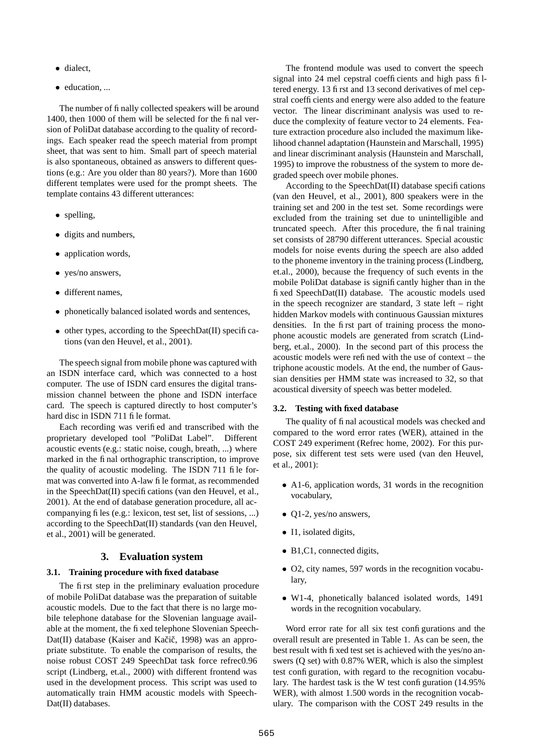- dialect,
- education, ...

The number of finally collected speakers will be around 1400, then 1000 of them will be selected for the final version of PoliDat database according to the quality of recordings. Each speaker read the speech material from prompt sheet, that was sent to him. Small part of speech material is also spontaneous, obtained as answers to different questions (e.g.: Are you older than 80 years?). More than 1600 different templates were used for the prompt sheets. The template contains 43 different utterances:

- spelling,
- digits and numbers,
- application words,
- yes/no answers,
- different names,
- phonetically balanced isolated words and sentences,
- other types, according to the SpeechDat(II) specifications (van den Heuvel, et al., 2001).

The speech signal from mobile phone was captured with an ISDN interface card, which was connected to a host computer. The use of ISDN card ensures the digital transmission channel between the phone and ISDN interface card. The speech is captured directly to host computer's hard disc in ISDN 711 file format.

Each recording was verified and transcribed with the proprietary developed tool "PoliDat Label". Different acoustic events (e.g.: static noise, cough, breath, ...) where marked in the final orthographic transcription, to improve the quality of acoustic modeling. The ISDN 711 file format was converted into A-law file format, as recommended in the SpeechDat(II) specifications (van den Heuvel, et al., 2001). At the end of database generation procedure, all accompanying files (e.g.: lexicon, test set, list of sessions, ...) according to the SpeechDat(II) standards (van den Heuvel, et al., 2001) will be generated.

#### **3. Evaluation system**

#### **3.1. Training procedure with fixed database**

The first step in the preliminary evaluation procedure of mobile PoliDat database was the preparation of suitable acoustic models. Due to the fact that there is no large mobile telephone database for the Slovenian language available at the moment, the fixed telephone Slovenian Speech-Dat(II) database (Kaiser and Kačič, 1998) was an appropriate substitute. To enable the comparison of results, the noise robust COST 249 SpeechDat task force refrec0.96 script (Lindberg, et.al., 2000) with different frontend was used in the development process. This script was used to automatically train HMM acoustic models with Speech-Dat(II) databases.

The frontend module was used to convert the speech signal into 24 mel cepstral coefficients and high pass filtered energy. 13 first and 13 second derivatives of mel cepstral coefficients and energy were also added to the feature vector. The linear discriminant analysis was used to reduce the complexity of feature vector to 24 elements. Feature extraction procedure also included the maximum likelihood channel adaptation (Haunstein and Marschall, 1995) and linear discriminant analysis (Haunstein and Marschall, 1995) to improve the robustness of the system to more degraded speech over mobile phones.

According to the SpeechDat(II) database specifications (van den Heuvel, et al., 2001), 800 speakers were in the training set and 200 in the test set. Some recordings were excluded from the training set due to unintelligible and truncated speech. After this procedure, the final training set consists of 28790 different utterances. Special acoustic models for noise events during the speech are also added to the phoneme inventory in the training process (Lindberg, et.al., 2000), because the frequency of such events in the mobile PoliDat database is significantly higher than in the fixed SpeechDat(II) database. The acoustic models used in the speech recognizer are standard, 3 state left – right hidden Markov models with continuous Gaussian mixtures densities. In the first part of training process the monophone acoustic models are generated from scratch (Lindberg, et.al., 2000). In the second part of this process the acoustic models were refined with the use of context – the triphone acoustic models. At the end, the number of Gaussian densities per HMM state was increased to 32, so that acoustical diversity of speech was better modeled.

#### **3.2. Testing with fixed database**

The quality of final acoustical models was checked and compared to the word error rates (WER), attained in the COST 249 experiment (Refrec home, 2002). For this purpose, six different test sets were used (van den Heuvel, et al., 2001):

- A1-6, application words, 31 words in the recognition vocabulary,
- Q1-2, yes/no answers,
- I1, isolated digits,
- B1,C1, connected digits,
- O2, city names, 597 words in the recognition vocabulary,
- W1-4, phonetically balanced isolated words, 1491 words in the recognition vocabulary.

Word error rate for all six test configurations and the overall result are presented in Table 1. As can be seen, the best result with fixed test set is achieved with the yes/no answers (Q set) with 0.87% WER, which is also the simplest test configuration, with regard to the recognition vocabulary. The hardest task is the W test configuration (14.95%) WER), with almost 1.500 words in the recognition vocabulary. The comparison with the COST 249 results in the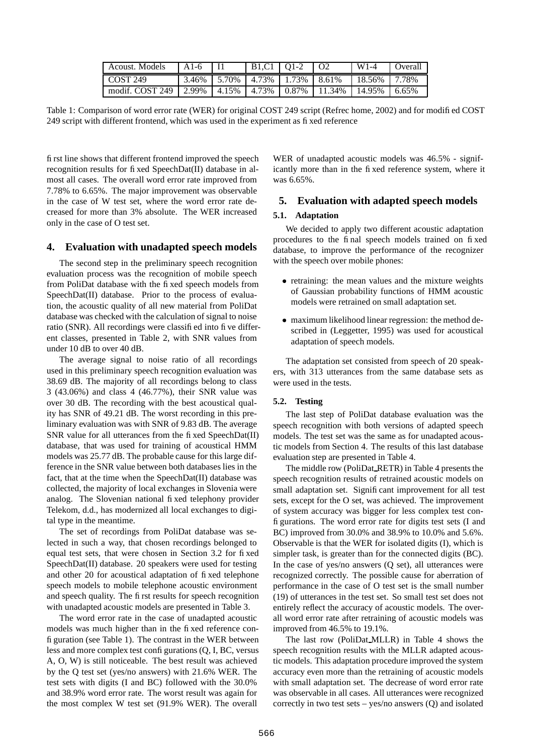| Acoust. Models  | $A1-6$ | B1.C1   O1-2                             |                                                 | $W1-4$    | <b>Overall</b> |
|-----------------|--------|------------------------------------------|-------------------------------------------------|-----------|----------------|
| COST 249        |        | $3.46\%$   5.70%   4.73%   1.73%   8.61% |                                                 | $18.56\%$ | 7.78%          |
| modif. COST 249 |        |                                          | 2.99%   4.15%   4.73%   0.87%   11.34%   14.95% |           | 6.65%          |

Table 1: Comparison of word error rate (WER) for original COST 249 script (Refrec home, 2002) and for modified COST 249 script with different frontend, which was used in the experiment as fixed reference

first line shows that different frontend improved the speech recognition results for fixed SpeechDat(II) database in almost all cases. The overall word error rate improved from 7.78% to 6.65%. The major improvement was observable in the case of W test set, where the word error rate decreased for more than 3% absolute. The WER increased only in the case of O test set.

### **4. Evaluation with unadapted speech models**

The second step in the preliminary speech recognition evaluation process was the recognition of mobile speech from PoliDat database with the fixed speech models from SpeechDat(II) database. Prior to the process of evaluation, the acoustic quality of all new material from PoliDat database was checked with the calculation of signal to noise ratio (SNR). All recordings were classified into five different classes, presented in Table 2, with SNR values from under 10 dB to over 40 dB.

The average signal to noise ratio of all recordings used in this preliminary speech recognition evaluation was 38.69 dB. The majority of all recordings belong to class 3 (43.06%) and class 4 (46.77%), their SNR value was over 30 dB. The recording with the best acoustical quality has SNR of 49.21 dB. The worst recording in this preliminary evaluation was with SNR of 9.83 dB. The average SNR value for all utterances from the fixed SpeechDat(II) database, that was used for training of acoustical HMM models was 25.77 dB. The probable cause for this large difference in the SNR value between both databases lies in the fact, that at the time when the SpeechDat(II) database was collected, the majority of local exchanges in Slovenia were analog. The Slovenian national fixed telephony provider Telekom, d.d., has modernized all local exchanges to digital type in the meantime.

The set of recordings from PoliDat database was selected in such a way, that chosen recordings belonged to equal test sets, that were chosen in Section 3.2 for fixed SpeechDat(II) database. 20 speakers were used for testing and other 20 for acoustical adaptation of fixed telephone speech models to mobile telephone acoustic environment and speech quality. The first results for speech recognition with unadapted acoustic models are presented in Table 3.

The word error rate in the case of unadapted acoustic models was much higher than in the fixed reference configuration (see Table 1). The contrast in the WER between less and more complex test configurations (Q, I, BC, versus A, O, W) is still noticeable. The best result was achieved by the Q test set (yes/no answers) with 21.6% WER. The test sets with digits (I and BC) followed with the 30.0% and 38.9% word error rate. The worst result was again for the most complex W test set (91.9% WER). The overall

WER of unadapted acoustic models was 46.5% - significantly more than in the fixed reference system, where it was 6.65%.

# **5. Evaluation with adapted speech models**

#### **5.1. Adaptation**

We decided to apply two different acoustic adaptation procedures to the final speech models trained on fixed database, to improve the performance of the recognizer with the speech over mobile phones:

- retraining: the mean values and the mixture weights of Gaussian probability functions of HMM acoustic models were retrained on small adaptation set.
- maximum likelihood linear regression: the method described in (Leggetter, 1995) was used for acoustical adaptation of speech models.

The adaptation set consisted from speech of 20 speakers, with 313 utterances from the same database sets as were used in the tests.

#### **5.2. Testing**

The last step of PoliDat database evaluation was the speech recognition with both versions of adapted speech models. The test set was the same as for unadapted acoustic models from Section 4. The results of this last database evaluation step are presented in Table 4.

The middle row (PoliDat RETR) in Table 4 presents the speech recognition results of retrained acoustic models on small adaptation set. Significant improvement for all test sets, except for the O set, was achieved. The improvement of system accuracy was bigger for less complex test configurations. The word error rate for digits test sets (I and BC) improved from 30.0% and 38.9% to 10.0% and 5.6%. Observable is that the WER for isolated digits (I), which is simpler task, is greater than for the connected digits (BC). In the case of yes/no answers (Q set), all utterances were recognized correctly. The possible cause for aberration of performance in the case of O test set is the small number (19) of utterances in the test set. So small test set does not entirely reflect the accuracy of acoustic models. The overall word error rate after retraining of acoustic models was improved from 46.5% to 19.1%.

The last row (PoliDat MLLR) in Table 4 shows the speech recognition results with the MLLR adapted acoustic models. This adaptation procedure improved the system accuracy even more than the retraining of acoustic models with small adaptation set. The decrease of word error rate was observable in all cases. All utterances were recognized correctly in two test sets – yes/no answers (Q) and isolated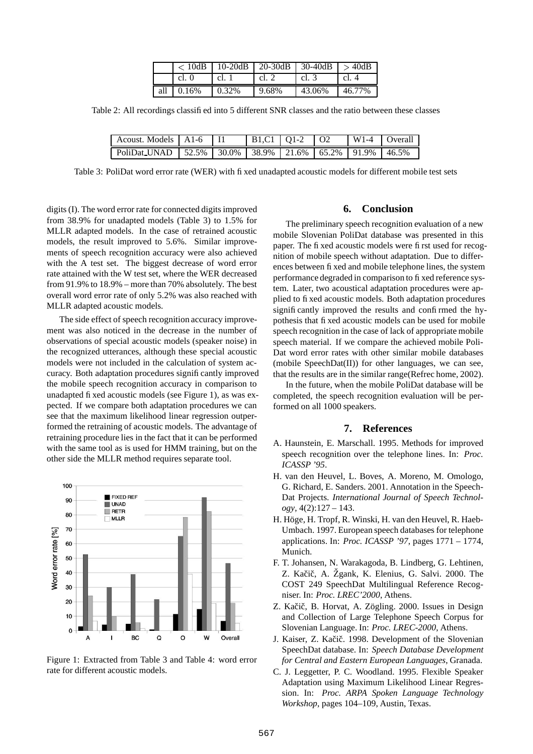|              |          | $< 10$ dB   10-20dB   20-30dB   30-40dB   $> 40$ dB |        |        |
|--------------|----------|-----------------------------------------------------|--------|--------|
| cl. $\theta$ | cl. 1    | cl. $2$                                             | cl. 3  | cl. 4  |
| all $0.16\%$ | $0.32\%$ | 9.68%                                               | 43.06% | 46.77% |

Table 2: All recordings classified into 5 different SNR classes and the ratio between these classes

| Acoust. Models   A1-6                                                |  | $B1.C1$   01-2   02 |  | $W1-4$ Overall |
|----------------------------------------------------------------------|--|---------------------|--|----------------|
| PoliDat_UNAD   52.5%   30.0%   38.9%   21.6%   65.2%   91.9%   46.5% |  |                     |  |                |

Table 3: PoliDat word error rate (WER) with fixed unadapted acoustic models for different mobile test sets

digits (I). The word error rate for connected digits improved from 38.9% for unadapted models (Table 3) to 1.5% for MLLR adapted models. In the case of retrained acoustic models, the result improved to 5.6%. Similar improvements of speech recognition accuracy were also achieved with the A test set. The biggest decrease of word error rate attained with the W test set, where the WER decreased from 91.9% to 18.9% – more than 70% absolutely. The best overall word error rate of only 5.2% was also reached with MLLR adapted acoustic models.

The side effect of speech recognition accuracy improvement was also noticed in the decrease in the number of observations of special acoustic models (speaker noise) in the recognized utterances, although these special acoustic models were not included in the calculation of system accuracy. Both adaptation procedures significantly improved the mobile speech recognition accuracy in comparison to unadapted fixed acoustic models (see Figure 1), as was expected. If we compare both adaptation procedures we can see that the maximum likelihood linear regression outperformed the retraining of acoustic models. The advantage of retraining procedure lies in the fact that it can be performed with the same tool as is used for HMM training, but on the other side the MLLR method requires separate tool.



Figure 1: Extracted from Table 3 and Table 4: word error rate for different acoustic models.

### **6. Conclusion**

The preliminary speech recognition evaluation of a new mobile Slovenian PoliDat database was presented in this paper. The fixed acoustic models were first used for recognition of mobile speech without adaptation. Due to differences between fixed and mobile telephone lines, the system performance degraded in comparison to fixed reference system. Later, two acoustical adaptation procedures were applied to fixed acoustic models. Both adaptation procedures significantly improved the results and confirmed the hypothesis that fixed acoustic models can be used for mobile speech recognition in the case of lack of appropriate mobile speech material. If we compare the achieved mobile Poli-Dat word error rates with other similar mobile databases (mobile SpeechDat(II)) for other languages, we can see, that the results are in the similar range(Refrec home, 2002).

In the future, when the mobile PoliDat database will be completed, the speech recognition evaluation will be performed on all 1000 speakers.

### **7. References**

- A. Haunstein, E. Marschall. 1995. Methods for improved speech recognition over the telephone lines. In: *Proc. ICASSP '95*.
- H. van den Heuvel, L. Boves, A. Moreno, M. Omologo, G. Richard, E. Sanders. 2001. Annotation in the Speech-Dat Projects. *International Journal of Speech Technology*, 4(2):127 – 143.
- H. Höge, H. Tropf, R. Winski, H. van den Heuvel, R. Haeb-Umbach. 1997. European speech databases for telephone applications. In: *Proc. ICASSP '97*, pages 1771 – 1774, Munich.
- F. T. Johansen, N. Warakagoda, B. Lindberg, G. Lehtinen, Z. Kačič, A. Žgank, K. Elenius, G. Salvi. 2000. The COST 249 SpeechDat Multilingual Reference Recogniser. In: *Proc. LREC'2000*, Athens.
- Z. Kačič, B. Horvat, A. Zögling. 2000. Issues in Design and Collection of Large Telephone Speech Corpus for Slovenian Language. In: *Proc. LREC-2000*, Athens.
- J. Kaiser, Z. Kačič. 1998. Development of the Slovenian SpeechDat database. In: *Speech Database Development for Central and Eastern European Languages*, Granada.
- C. J. Leggetter, P. C. Woodland. 1995. Flexible Speaker Adaptation using Maximum Likelihood Linear Regression. In: *Proc. ARPA Spoken Language Technology Workshop*, pages 104–109, Austin, Texas.